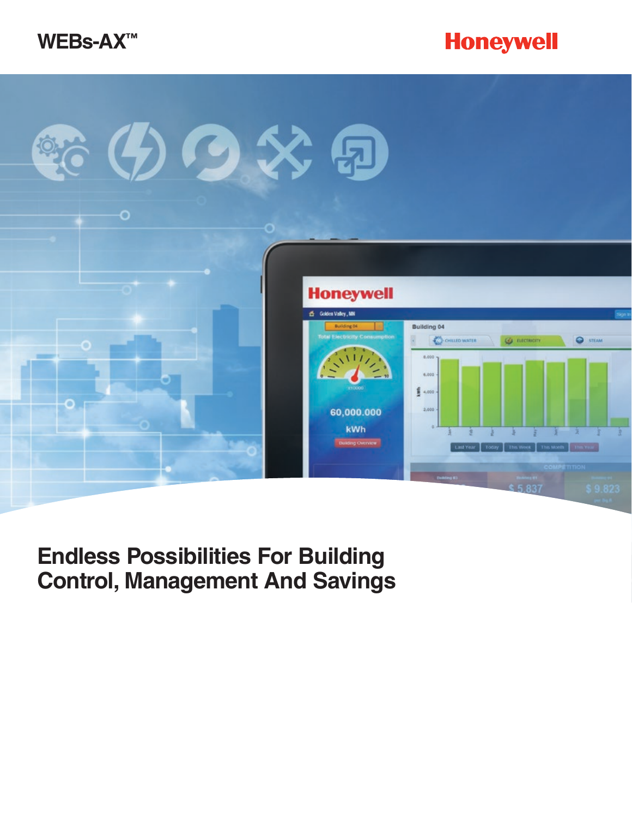





### **Endless Possibilities For Building Control, Management And Savings**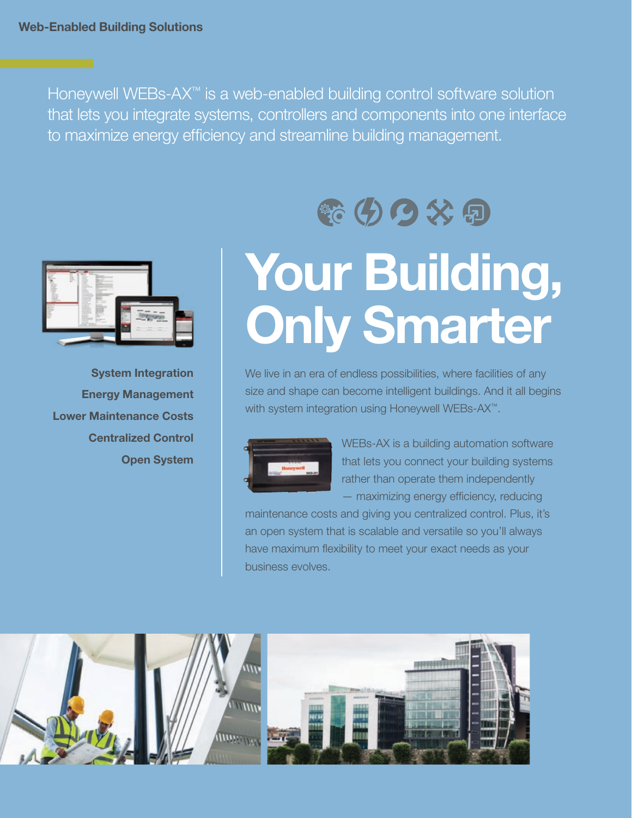Honeywell WEBs-AX™ is a web-enabled building control software solution that lets you integrate systems, controllers and components into one interface to maximize energy efficiency and streamline building management.



**System Integration Energy Management Lower Maintenance Costs Centralized Control Open System**

## **Your Building, Only Smarter**

新人人人名

We live in an era of endless possibilities, where facilities of any size and shape can become intelligent buildings. And it all begins with system integration using Honeywell WEBs-AX<sup>™</sup>.



WEBs-AX is a building automation software that lets you connect your building systems rather than operate them independently — maximizing energy efficiency, reducing

maintenance costs and giving you centralized control. Plus, it's an open system that is scalable and versatile so you'll always have maximum flexibility to meet your exact needs as your business evolves.

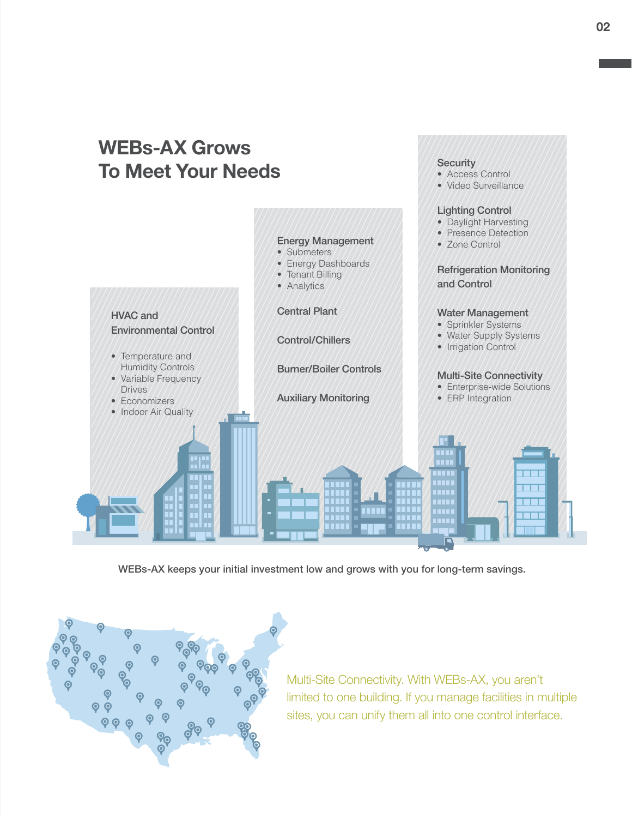#### **WEBs-AX Grows Security To Meet Your Needs** • Access Control • Video Surveillance Lighting Control • Daylight Harvesting • Presence Detection Energy Management • Zone Control • Submeters • Energy Dashboards Refrigeration Monitoring • Tenant Billing and Control • Analytics Central Plant Water Management HVAC and • Sprinkler Systems Environmental Control • Water Supply Systems Control/Chillers • Irrigation Control • Temperature and Humidity Controls Burner/Boiler Controls Multi-Site Connectivity • Variable Frequency • Enterprise-wide Solutions Drives Auxiliary Monitoring • ERP Integration • Economizers • Indoor Air Quality $\blacksquare$ 1999.<br>2002 **TELE** a.

WEBs-AX keeps your initial investment low and grows with you for long-term savings.



Multi-Site Connectivity. With WEBs-AX, you aren't limited to one building. If you manage facilities in multiple sites, you can unify them all into one control interface.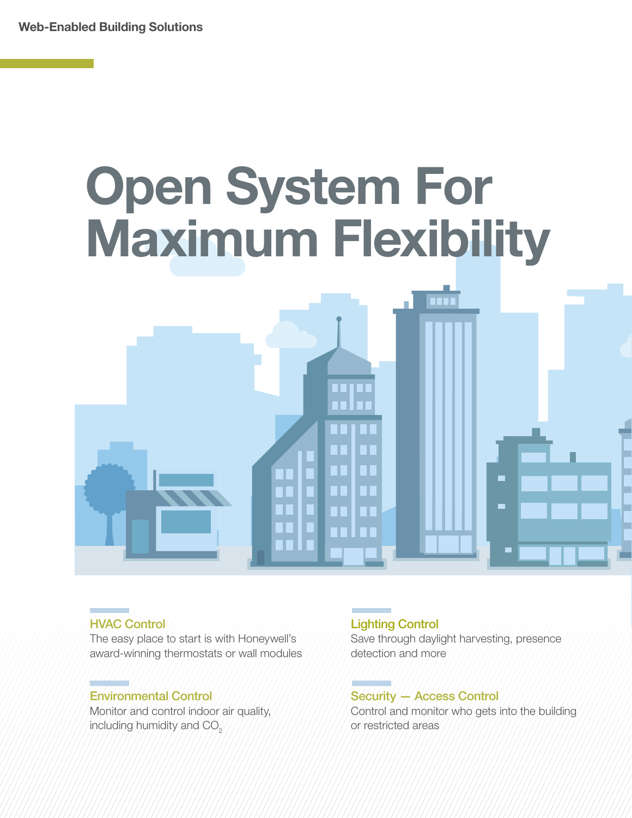# **Open System For Maximum Flexibility**  m n.  $\blacksquare$  $\blacksquare$

### HVAC Control

The easy place to start is with Honeywell's award-winning thermostats or wall modules

### Environmental Control

Monitor and control indoor air quality, including humidity and CO<sub>2</sub>

### Lighting Control

Save through daylight harvesting, presence detection and more

### Security — Access Control

Control and monitor who gets into the building or restricted areas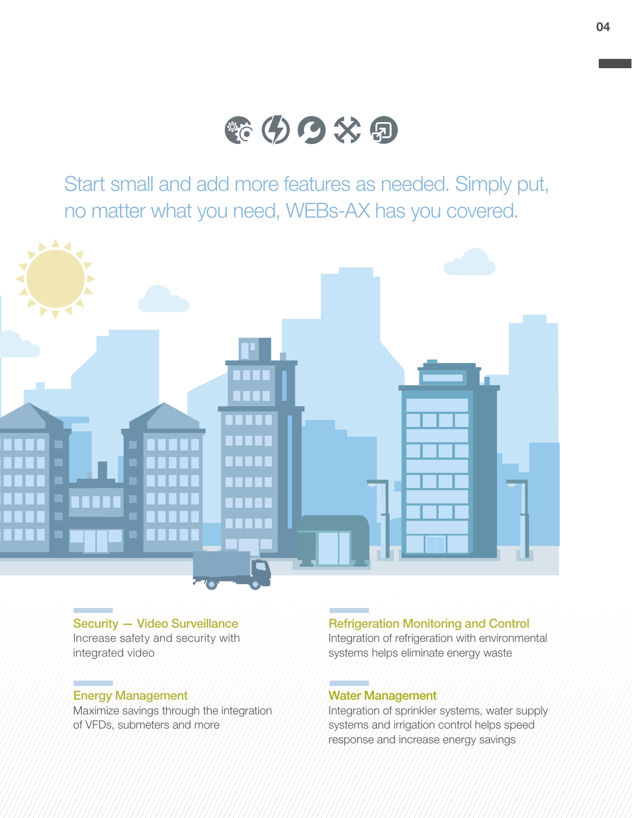

Start small and add more features as needed. Simply put, no matter what you need, WEBs-AX has you covered.



Security — Video Surveillance Increase safety and security with integrated video

### Energy Management

Maximize savings through the integration of VFDs, submeters and more

### Refrigeration Monitoring and Control

Integration of refrigeration with environmental systems helps eliminate energy waste

### Water Management

Integration of sprinkler systems, water supply systems and irrigation control helps speed response and increase energy savings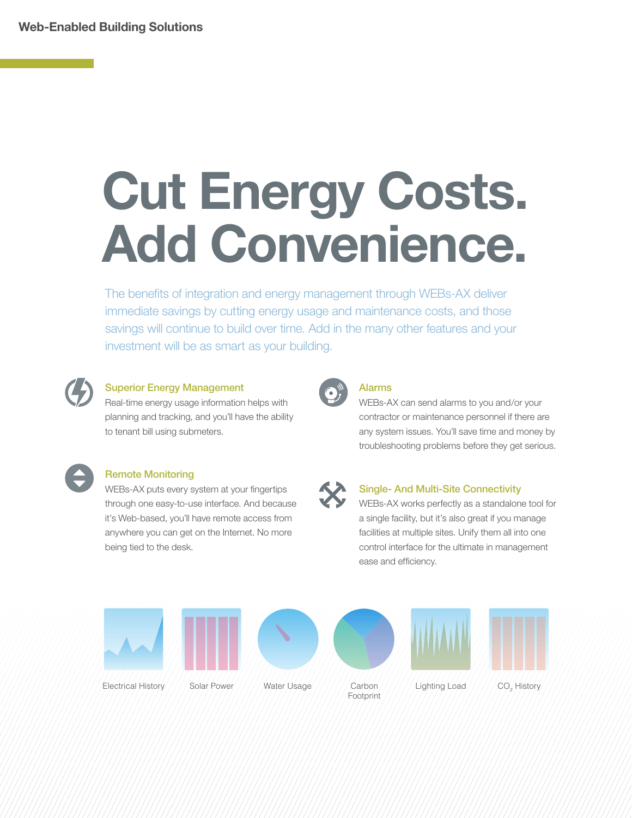## **Cut Energy Costs. Add Convenience.**

The benefits of integration and energy management through WEBs-AX deliver immediate savings by cutting energy usage and maintenance costs, and those savings will continue to build over time. Add in the many other features and your investment will be as smart as your building.



### Superior Energy Management

Real-time energy usage information helps with planning and tracking, and you'll have the ability to tenant bill using submeters.



### Remote Monitoring

WEBs-AX puts every system at your fingertips through one easy-to-use interface. And because it's Web-based, you'll have remote access from anywhere you can get on the Internet. No more being tied to the desk.



### Alarms

WEBs-AX can send alarms to you and/or your contractor or maintenance personnel if there are any system issues. You'll save time and money by troubleshooting problems before they get serious.



### Single- And Multi-Site Connectivity

WEBs-AX works perfectly as a standalone tool for a single facility, but it's also great if you manage facilities at multiple sites. Unify them all into one control interface for the ultimate in management ease and efficiency.

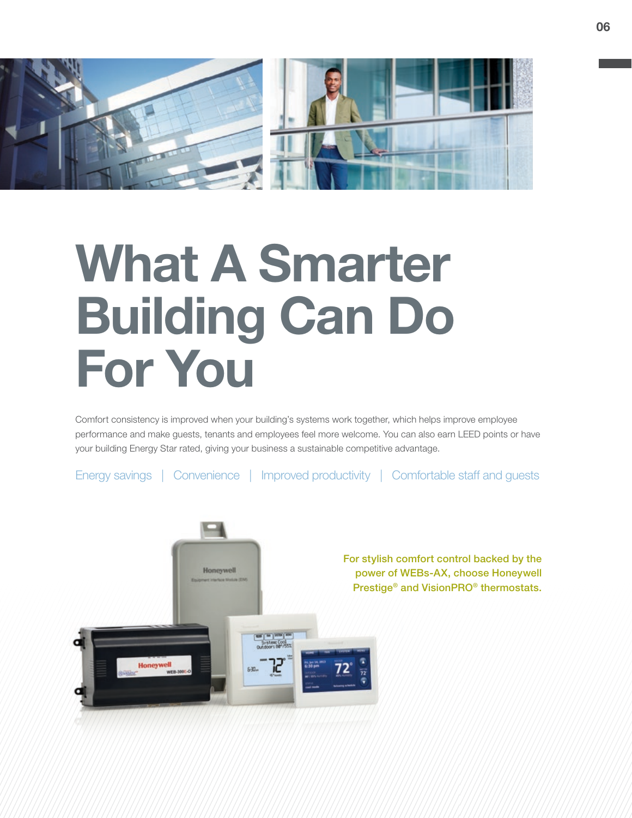

## **What A Smarter Building Can Do For You**

Comfort consistency is improved when your building's systems work together, which helps improve employee performance and make guests, tenants and employees feel more welcome. You can also earn LEED points or have your building Energy Star rated, giving your business a sustainable competitive advantage.

Energy savings | Convenience | Improved productivity | Comfortable staff and guests